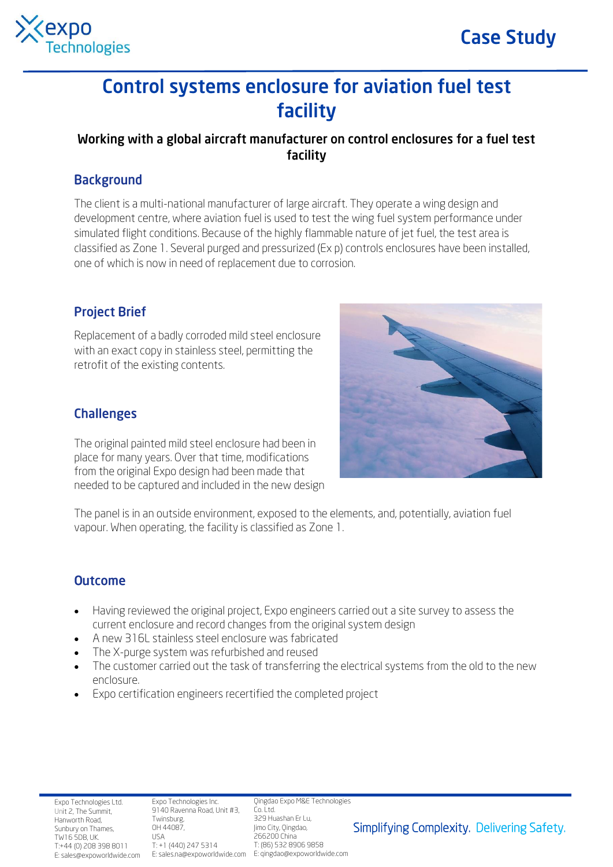



# **Control systems enclosure for aviation fuel test** facility

## Working with a global aircraft manufacturer on control enclosures for a fuel test facility

### **Background**

The client is a multi-national manufacturer of large aircraft. They operate a wing design and development centre, where aviation fuel is used to test the wing fuel system performance under simulated flight conditions. Because of the highly flammable nature of jet fuel, the test area is classified as Zone 1. Several purged and pressurized (Ex p) controls enclosures have been installed, one of which is now in need of replacement due to corrosion.

## **Project Brief**

Replacement of a badly corroded mild steel enclosure with an exact copy in stainless steel, permitting the retrofit of the existing contents.



The original painted mild steel enclosure had been in place for many years. Over that time, modifications from the original Expo design had been made that needed to be captured and included in the new design



The panel is in an outside environment, exposed to the elements, and, potentially, aviation fuel vapour. When operating, the facility is classified as Zone 1.

#### **Outcome**

- Having reviewed the original project, Expo engineers carried out a site survey to assess the current enclosure and record changes from the original system design
- A new 316L stainless steel enclosure was fabricated
- The X-purge system was refurbished and reused
- The customer carried out the task of transferring the electrical systems from the old to the new enclosure.
- Expo certification engineers recertified the completed project

Expo Technologies Ltd. Unit 2, The Summit, Hanworth Road, Sunbury on Thames, TW16 5DB, UK. T:+44 (0) 208 398 8011 E: sales@expoworldwide.com

Expo Technologies Inc. 9140 Ravenna Road, Unit #3, Twinsburg, OH 44087, USA T: +1 (440) 247 5314

E: sales.na@expoworldwide.com E: qingdao@expoworldwide.com Qingdao Expo M&E Technologies Co. Ltd. 329 Huashan Er Lu, Jimo City, Qingdao, 266200 China T: (86) 532 8906 9858

Simplifying Complexity. Delivering Safety.